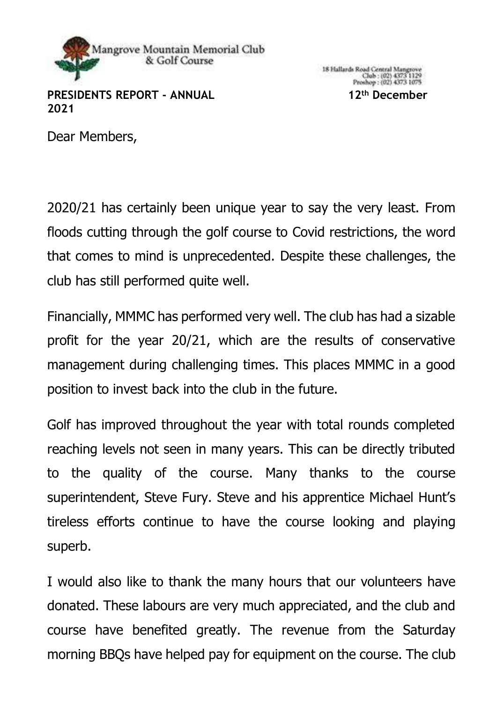

**PRESIDENTS REPORT - ANNUAL 12th December 2021**

Dear Members,

2020/21 has certainly been unique year to say the very least. From floods cutting through the golf course to Covid restrictions, the word that comes to mind is unprecedented. Despite these challenges, the club has still performed quite well.

Financially, MMMC has performed very well. The club has had a sizable profit for the year 20/21, which are the results of conservative management during challenging times. This places MMMC in a good position to invest back into the club in the future.

Golf has improved throughout the year with total rounds completed reaching levels not seen in many years. This can be directly tributed to the quality of the course. Many thanks to the course superintendent, Steve Fury. Steve and his apprentice Michael Hunt's tireless efforts continue to have the course looking and playing superb.

I would also like to thank the many hours that our volunteers have donated. These labours are very much appreciated, and the club and course have benefited greatly. The revenue from the Saturday morning BBQs have helped pay for equipment on the course. The club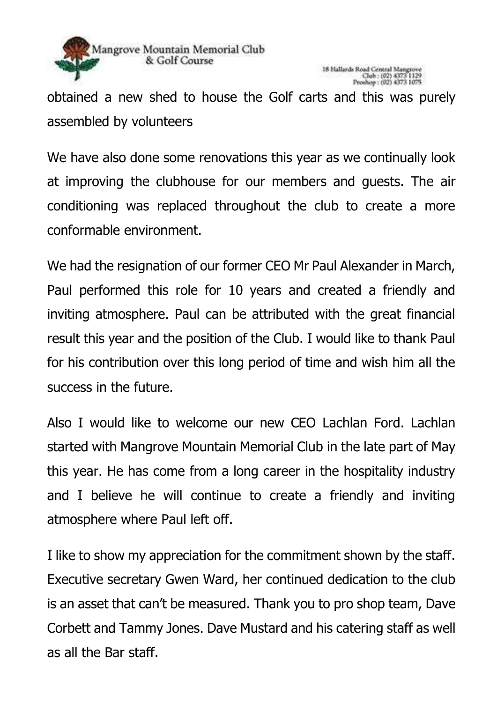

obtained a new shed to house the Golf carts and this was purely assembled by volunteers

We have also done some renovations this year as we continually look at improving the clubhouse for our members and guests. The air conditioning was replaced throughout the club to create a more conformable environment.

We had the resignation of our former CEO Mr Paul Alexander in March, Paul performed this role for 10 years and created a friendly and inviting atmosphere. Paul can be attributed with the great financial result this year and the position of the Club. I would like to thank Paul for his contribution over this long period of time and wish him all the success in the future.

Also I would like to welcome our new CEO Lachlan Ford. Lachlan started with Mangrove Mountain Memorial Club in the late part of May this year. He has come from a long career in the hospitality industry and I believe he will continue to create a friendly and inviting atmosphere where Paul left off.

I like to show my appreciation for the commitment shown by the staff. Executive secretary Gwen Ward, her continued dedication to the club is an asset that can't be measured. Thank you to pro shop team, Dave Corbett and Tammy Jones. Dave Mustard and his catering staff as well as all the Bar staff.